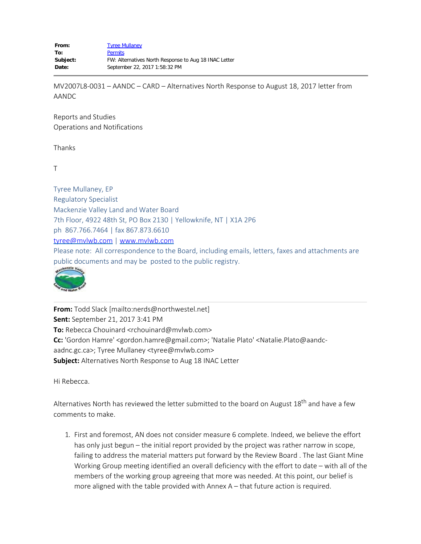MV2007L8-0031 – AANDC – CARD – Alternatives North Response to August 18, 2017 letter from AANDC

Reports and Studies Operations and Notifications

Thanks

T

Tyree Mullaney, EP Regulatory Specialist Mackenzie Valley Land and Water Board 7th Floor, 4922 48th St, PO Box 2130 | Yellowknife, NT | X1A 2P6 ph 867.766.7464 | fax 867.873.6610 [tyree@mvlwb.com](mailto:tyree@mvlwb.com) | [www.mvlwb.com](http://www.mvlwb.com/) Please note: All correspondence to the Board, including emails, letters, faxes and attachments are public documents and may be posted to the public registry.



**From:** Todd Slack [mailto:nerds@northwestel.net] **Sent:** September 21, 2017 3:41 PM **To:** Rebecca Chouinard <rchouinard@mvlwb.com> **Cc:** 'Gordon Hamre' <gordon.hamre@gmail.com>; 'Natalie Plato' <Natalie.Plato@aandcaadnc.gc.ca>; Tyree Mullaney <tyree@mvlwb.com> **Subject:** Alternatives North Response to Aug 18 INAC Letter

Hi Rebecca.

Alternatives North has reviewed the letter submitted to the board on August 18<sup>th</sup> and have a few comments to make.

1. First and foremost, AN does not consider measure 6 complete. Indeed, we believe the effort has only just begun – the initial report provided by the project was rather narrow in scope, failing to address the material matters put forward by the Review Board . The last Giant Mine Working Group meeting identified an overall deficiency with the effort to date – with all of the members of the working group agreeing that more was needed. At this point, our belief is more aligned with the table provided with Annex A – that future action is required.